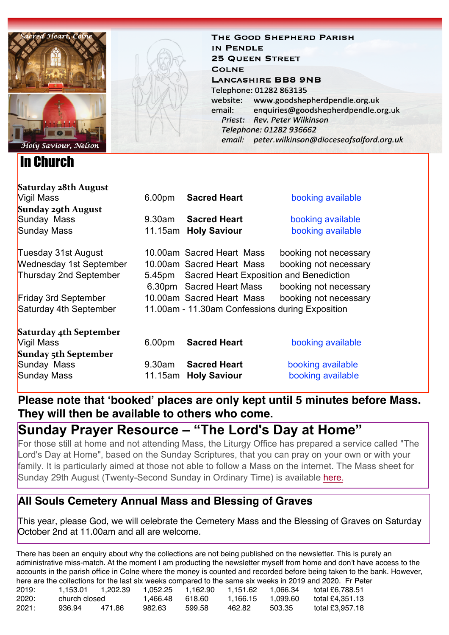

In Church

THE GOOD SHEPHERD PARISH **IN PENDLE 25 QUEEN STREET COLNE LANCASHIRE BB8 9NB** Telephone: 01282 863135 www.goodshepherdpendle.org.uk website: email: enquiries@goodshepherdpendle.org.uk Priest: Rev. Peter Wilkinson Telephone: 01282 936662 email: peter.wilkinson@dioceseofsalford.org.uk

| Saturday 28th August           |                                                   |                           |                       |  |  |  |
|--------------------------------|---------------------------------------------------|---------------------------|-----------------------|--|--|--|
| Vigil Mass                     | 6.00 <sub>pm</sub>                                | <b>Sacred Heart</b>       | booking available     |  |  |  |
| Sunday 29th August             |                                                   |                           |                       |  |  |  |
| Sunday Mass                    | 9.30am                                            | <b>Sacred Heart</b>       | booking available     |  |  |  |
| Sunday Mass                    |                                                   | 11.15am Holy Saviour      | booking available     |  |  |  |
| Tuesday 31st August            |                                                   | 10,00am Sacred Heart Mass | booking not necessary |  |  |  |
| <b>Wednesday 1st September</b> |                                                   | 10.00am Sacred Heart Mass | booking not necessary |  |  |  |
| Thursday 2nd September         | Sacred Heart Exposition and Benediction<br>5.45pm |                           |                       |  |  |  |
|                                |                                                   | 6.30pm Sacred Heart Mass  | booking not necessary |  |  |  |
| <b>Friday 3rd September</b>    |                                                   | 10.00am Sacred Heart Mass | booking not necessary |  |  |  |
| Saturday 4th September         | 11.00am - 11.30am Confessions during Exposition   |                           |                       |  |  |  |
| Saturday 4th September         |                                                   |                           |                       |  |  |  |
| Vigil Mass                     | 6.00pm                                            | <b>Sacred Heart</b>       | booking available     |  |  |  |
| Sunday 5th September           |                                                   |                           |                       |  |  |  |
| Sunday Mass                    | 9.30am                                            | <b>Sacred Heart</b>       | booking available     |  |  |  |
| Sunday Mass                    |                                                   | 11.15am Holy Saviour      | booking available     |  |  |  |

**Please note that 'booked' places are only kept until 5 minutes before Mass. They will then be available to others who come.**

# **Sunday Prayer Resource – "The Lord's Day at Home"**

For those still at home and not attending Mass, the Liturgy Office has prepared a service called "The Lord's Day at Home", based on the Sunday Scriptures, that you can pray on your own or with your family. It is particularly aimed at those not able to follow a Mass on the internet. The Mass sheet for Sunday 29th August (Twenty-Second Sunday in Ordinary Time) is available [here.](https://gbr01.safelinks.protection.outlook.com/?url=https%3A%2F%2Fdioceseofsalford.us6.list-manage.com%2Ftrack%2Fclick%3Fu%3D76e219dab8653b775ba8aac4c%26id%3D8551dcbbc4%26e%3D5ce69633f0&data=04%7C01%7Cpeter.wilkinson%40dioceseofsalford.org.uk%7C5105b46e18874dee1e7008d967a43143%7C699a61ae142a45a090c604b2f08de19b%7C0%7C0%7C637654777157608965%7CUnknown%7CTWFpbGZsb3d8eyJWIjoiMC4wLjAwMDAiLCJQIjoiV2luMzIiLCJBTiI6Ik1haWwiLCJXVCI6Mn0%3D%7C1000&sdata=0qBmEQwqY0Vcjhl2lOOlzxalwalH0Kef7tqstGv86S4%3D&reserved=0)

# **All Souls Cemetery Annual Mass and Blessing of Graves**

This year, please God, we will celebrate the Cemetery Mass and the Blessing of Graves on Saturday October 2nd at 11.00am and all are welcome.

There has been an enquiry about why the collections are not being published on the newsletter. This is purely an administrative miss-match. At the moment I am producting the newsletter myself from home and don't have access to the accounts in the parish office in Colne where the money is counted and recorded before being taken to the bank. However, here are the collections for the last six weeks compared to the same six weeks in 2019 and 2020. Fr Peter

| 2019: | 1.153.01      | 1.202.39 | 1.052.25 | 1.162.90 | 1.151.62 | 1.066.34 | total £6.788.51 |
|-------|---------------|----------|----------|----------|----------|----------|-----------------|
| 2020: | church closed |          | 1.466.48 | 618.60   | 1.166.15 | 1.099.60 | total £4.351.13 |
| 2021: | 936.94        | 471.86   | 982.63   | 599.58   | 462.82   | 503.35   | total £3.957.18 |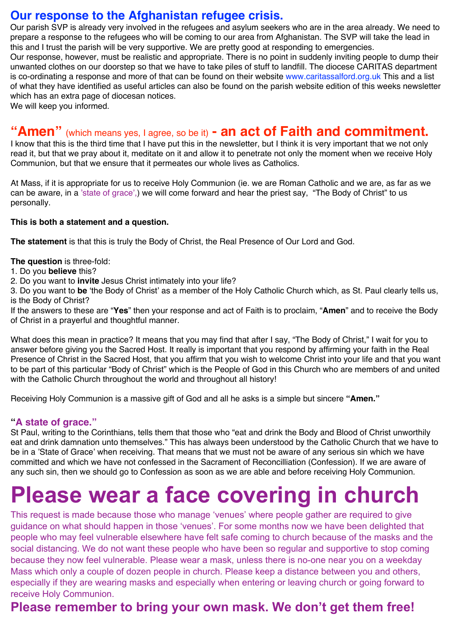## **Our response to the Afghanistan refugee crisis.**

Our parish SVP is already very involved in the refugees and asylum seekers who are in the area already. We need to prepare a response to the refugees who will be coming to our area from Afghanistan. The SVP will take the lead in this and I trust the parish will be very supportive. We are pretty good at responding to emergencies.

Our response, however, must be realistic and appropriate. There is no point in suddenly inviting people to dump their unwanted clothes on our doorstep so that we have to take piles of stuff to landfill. The diocese CARITAS department is co-ordinating a response and more of that can be found on their website [www.caritassalford.org.uk](http://www.caritassalford.org.uk) This and a list of what they have identified as useful articles can also be found on the parish website edition of this weeks newsletter which has an extra page of diocesan notices.

We will keep you informed.

# **"Amen"** (which means yes, I agree, so be it) **- an act of Faith and commitment.**

I know that this is the third time that I have put this in the newsletter, but I think it is very important that we not only read it, but that we pray about it, meditate on it and allow it to penetrate not only the moment when we receive Holy Communion, but that we ensure that it permeates our whole lives as Catholics.

At Mass, if it is appropriate for us to receive Holy Communion (ie. we are Roman Catholic and we are, as far as we can be aware, in a 'state of grace',) we will come forward and hear the priest say, "The Body of Christ" to us personally.

#### **This is both a statement and a question.**

**The statement** is that this is truly the Body of Christ, the Real Presence of Our Lord and God.

**The question** is three-fold:

- 1. Do you **believe** this?
- 2. Do you want to **invite** Jesus Christ intimately into your life?

3. Do you want to **be** 'the Body of Christ' as a member of the Holy Catholic Church which, as St. Paul clearly tells us, is the Body of Christ?

If the answers to these are "**Yes**" then your response and act of Faith is to proclaim, "**Amen**" and to receive the Body of Christ in a prayerful and thoughtful manner.

What does this mean in practice? It means that you may find that after I say, "The Body of Christ," I wait for you to answer before giving you the Sacred Host. It really is important that you respond by affirming your faith in the Real Presence of Christ in the Sacred Host, that you affirm that you wish to welcome Christ into your life and that you want to be part of this particular "Body of Christ" which is the People of God in this Church who are members of and united with the Catholic Church throughout the world and throughout all history!

Receiving Holy Communion is a massive gift of God and all he asks is a simple but sincere **"Amen."**

## **"A state of grace."**

St Paul, writing to the Corinthians, tells them that those who "eat and drink the Body and Blood of Christ unworthily eat and drink damnation unto themselves." This has always been understood by the Catholic Church that we have to be in a 'State of Grace' when receiving. That means that we must not be aware of any serious sin which we have committed and which we have not confessed in the Sacrament of Reconcilliation (Confession). If we are aware of any such sin, then we should go to Confession as soon as we are able and before receiving Holy Communion.

# **Please wear a face covering in church**

This request is made because those who manage 'venues' where people gather are required to give guidance on what should happen in those 'venues'. For some months now we have been delighted that people who may feel vulnerable elsewhere have felt safe coming to church because of the masks and the social distancing. We do not want these people who have been so regular and supportive to stop coming because they now feel vulnerable. Please wear a mask, unless there is no-one near you on a weekday Mass which only a couple of dozen people in church. Please keep a distance between you and others, especially if they are wearing masks and especially when entering or leaving church or going forward to receive Holy Communion.

# **Please remember to bring your own mask. We don't get them free!**